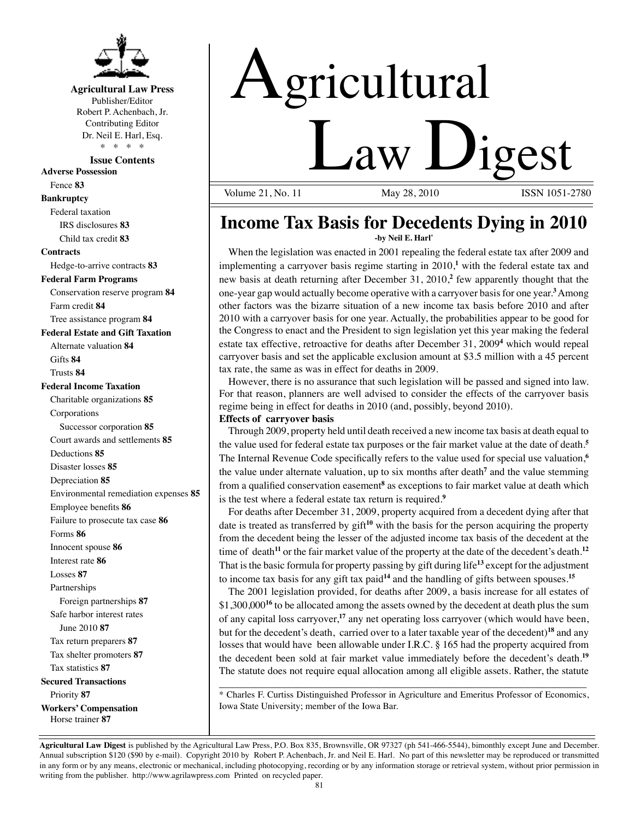

#### **Agricultural Law Press**

Publisher/Editor Robert P. Achenbach, Jr. Contributing Editor Dr. Neil E. Harl, Esq. \* \* \* \*

**Issue Contents**

**Adverse Possession**

Fence **83**

**Bankruptcy**

Federal taxation IRS disclosures **83** Child tax credit **83**

#### **Contracts**

Hedge-to-arrive contracts **83 Federal Farm Programs**

Conservation reserve program **84** Farm credit **84**

Tree assistance program **84**

**Federal Estate and Gift Taxation**

Alternate valuation **84** Gifts **84** Trusts **84**

#### **Federal Income Taxation**

Charitable organizations **85** Corporations Successor corporation **85** Court awards and settlements **85** Deductions **85** Disaster losses **85** Depreciation **85** Environmental remediation expenses **85** Employee benefits **86** Failure to prosecute tax case **86** Forms **86** Innocent spouse **86** Interest rate **86** Losses **87** Partnerships Foreign partnerships **87** Safe harbor interest rates June 2010 **87** Tax return preparers **87**  Tax shelter promoters **87** Tax statistics **87 Secured Transactions** Priority **87 Workers' Compensation** Horse trainer **87**

# Agricultural

**Law Digest** 

ISSN 1051-2780

#### **Income Tax Basis for Decedents Dying in 2010 -by Neil E. Harl\***

When the legislation was enacted in 2001 repealing the federal estate tax after 2009 and implementing a carryover basis regime starting in 2010,**<sup>1</sup>** with the federal estate tax and new basis at death returning after December 31, 2010,**<sup>2</sup>** few apparently thought that the one-year gap would actually become operative with a carryover basis for one year.<sup>3</sup> Among other factors was the bizarre situation of a new income tax basis before 2010 and after 2010 with a carryover basis for one year. Actually, the probabilities appear to be good for the Congress to enact and the President to sign legislation yet this year making the federal estate tax effective, retroactive for deaths after December 31, 2009**<sup>4</sup>** which would repeal carryover basis and set the applicable exclusion amount at \$3.5 million with a 45 percent tax rate, the same as was in effect for deaths in 2009.

However, there is no assurance that such legislation will be passed and signed into law. For that reason, planners are well advised to consider the effects of the carryover basis regime being in effect for deaths in 2010 (and, possibly, beyond 2010).

#### **Effects of carryover basis**

Through 2009, property held until death received a new income tax basis at death equal to the value used for federal estate tax purposes or the fair market value at the date of death.**<sup>5</sup>** The Internal Revenue Code specifically refers to the value used for special use valuation,**<sup>6</sup>** the value under alternate valuation, up to six months after death<sup>7</sup> and the value stemming from a qualified conservation easement<sup>8</sup> as exceptions to fair market value at death which is the test where a federal estate tax return is required.**<sup>9</sup>**

For deaths after December 31, 2009, property acquired from a decedent dying after that date is treated as transferred by gift**<sup>10</sup>** with the basis for the person acquiring the property from the decedent being the lesser of the adjusted income tax basis of the decedent at the time of death**<sup>11</sup>** or the fair market value of the property at the date of the decedent's death.**<sup>12</sup>** That is the basic formula for property passing by gift during life**<sup>13</sup>** except for the adjustment to income tax basis for any gift tax paid**<sup>14</sup>** and the handling of gifts between spouses.**<sup>15</sup>**

The 2001 legislation provided, for deaths after 2009, a basis increase for all estates of \$1,300,000**<sup>16</sup>** to be allocated among the assets owned by the decedent at death plus the sum of any capital loss carryover,**<sup>17</sup>** any net operating loss carryover (which would have been, but for the decedent's death, carried over to a later taxable year of the decedent)**<sup>18</sup>** and any losses that would have been allowable under I.R.C. § 165 had the property acquired from the decedent been sold at fair market value immediately before the decedent's death.**<sup>19</sup>** The statute does not require equal allocation among all eligible assets. Rather, the statute

\_\_\_\_\_\_\_\_\_\_\_\_\_\_\_\_\_\_\_\_\_\_\_\_\_\_\_\_\_\_\_\_\_\_\_\_\_\_\_\_\_\_\_\_\_\_\_\_\_\_\_\_\_\_\_\_\_\_\_\_\_\_\_\_\_\_\_\_\_\_\_ \* Charles F. Curtiss Distinguished Professor in Agriculture and Emeritus Professor of Economics, Iowa State University; member of the Iowa Bar.

**Agricultural Law Digest** is published by the Agricultural Law Press, P.O. Box 835, Brownsville, OR 97327 (ph 541-466-5544), bimonthly except June and December. Annual subscription \$120 (\$90 by e-mail). Copyright 2010 by Robert P. Achenbach, Jr. and Neil E. Harl. No part of this newsletter may be reproduced or transmitted in any form or by any means, electronic or mechanical, including photocopying, recording or by any information storage or retrieval system, without prior permission in writing from the publisher. http://www.agrilawpress.com Printed on recycled paper.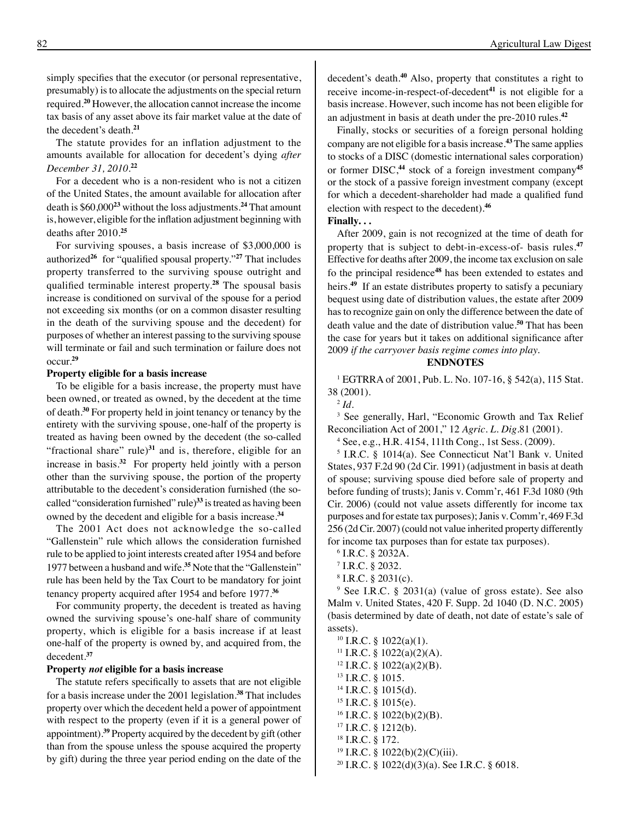simply specifies that the executor (or personal representative, presumably) is to allocate the adjustments on the special return required.**<sup>20</sup>** However, the allocation cannot increase the income tax basis of any asset above its fair market value at the date of the decedent's death.**<sup>21</sup>**

The statute provides for an inflation adjustment to the amounts available for allocation for decedent's dying *after December 31, 2010.***<sup>22</sup>**

For a decedent who is a non-resident who is not a citizen of the United States, the amount available for allocation after death is \$60,000**<sup>23</sup>** without the loss adjustments.**<sup>24</sup>** That amount is, however, eligible for the inflation adjustment beginning with deaths after 2010.**<sup>25</sup>**

For surviving spouses, a basis increase of \$3,000,000 is authorized**<sup>26</sup>** for "qualified spousal property."**<sup>27</sup>** That includes property transferred to the surviving spouse outright and qualified terminable interest property.**<sup>28</sup>** The spousal basis increase is conditioned on survival of the spouse for a period not exceeding six months (or on a common disaster resulting in the death of the surviving spouse and the decedent) for purposes of whether an interest passing to the surviving spouse will terminate or fail and such termination or failure does not occur.**<sup>29</sup>**

#### **Property eligible for a basis increase**

To be eligible for a basis increase, the property must have been owned, or treated as owned, by the decedent at the time of death.**<sup>30</sup>** For property held in joint tenancy or tenancy by the entirety with the surviving spouse, one-half of the property is treated as having been owned by the decedent (the so-called "fractional share" rule) $31$  and is, therefore, eligible for an increase in basis.**<sup>32</sup>** For property held jointly with a person other than the surviving spouse, the portion of the property attributable to the decedent's consideration furnished (the socalled "consideration furnished" rule)**<sup>33</sup>** is treated as having been owned by the decedent and eligible for a basis increase.**<sup>34</sup>**

The 2001 Act does not acknowledge the so-called "Gallenstein" rule which allows the consideration furnished rule to be applied to joint interests created after 1954 and before 1977 between a husband and wife.**<sup>35</sup>** Note that the "Gallenstein" rule has been held by the Tax Court to be mandatory for joint tenancy property acquired after 1954 and before 1977.**<sup>36</sup>**

For community property, the decedent is treated as having owned the surviving spouse's one-half share of community property, which is eligible for a basis increase if at least one-half of the property is owned by, and acquired from, the decedent.**<sup>37</sup>**

#### **Property** *not* **eligible for a basis increase**

 The statute refers specifically to assets that are not eligible for a basis increase under the 2001 legislation.**<sup>38</sup>** That includes property over which the decedent held a power of appointment with respect to the property (even if it is a general power of appointment).**<sup>39</sup>** Property acquired by the decedent by gift (other than from the spouse unless the spouse acquired the property by gift) during the three year period ending on the date of the decedent's death.**<sup>40</sup>** Also, property that constitutes a right to receive income-in-respect-of-decedent**<sup>41</sup>** is not eligible for a basis increase. However, such income has not been eligible for an adjustment in basis at death under the pre-2010 rules.**<sup>42</sup>**

Finally, stocks or securities of a foreign personal holding company are not eligible for a basis increase.**<sup>43</sup>** The same applies to stocks of a DISC (domestic international sales corporation) or former DISC,**<sup>44</sup>** stock of a foreign investment company**<sup>45</sup>** or the stock of a passive foreign investment company (except for which a decedent-shareholder had made a qualified fund election with respect to the decedent).**<sup>46</sup>**

**Finally. . .** 

After 2009, gain is not recognized at the time of death for property that is subject to debt-in-excess-of- basis rules.**<sup>47</sup>** Effective for deaths after 2009, the income tax exclusion on sale fo the principal residence**<sup>48</sup>** has been extended to estates and heirs.**<sup>49</sup>** If an estate distributes property to satisfy a pecuniary bequest using date of distribution values, the estate after 2009 has to recognize gain on only the difference between the date of death value and the date of distribution value.**<sup>50</sup>** That has been the case for years but it takes on additional significance after 2009 *if the carryover basis regime comes into play.*

#### **ENDNOTES**

1 EGTRRA of 2001, Pub. L. No. 107-16, § 542(a), 115 Stat. 38 (2001).

<sup>2</sup> *Id*.

3 See generally, Harl, "Economic Growth and Tax Relief Reconciliation Act of 2001," 12 *Agric. L. Dig*.81 (2001).

4 See, e.g., H.R. 4154, 111th Cong., 1st Sess. (2009).

5 I.R.C. § 1014(a). See Connecticut Nat'l Bank v. United States, 937 F.2d 90 (2d Cir. 1991) (adjustment in basis at death of spouse; surviving spouse died before sale of property and before funding of trusts); Janis v. Comm'r, 461 F.3d 1080 (9th Cir. 2006) (could not value assets differently for income tax purposes and for estate tax purposes); Janis v. Comm'r, 469 F.3d 256 (2d Cir. 2007) (could not value inherited property differently for income tax purposes than for estate tax purposes).

6 I.R.C. § 2032A.

7 I.R.C. § 2032.

8 I.R.C. § 2031(c).

9 See I.R.C. § 2031(a) (value of gross estate). See also Malm v. United States, 420 F. Supp. 2d 1040 (D. N.C. 2005) (basis determined by date of death, not date of estate's sale of assets).

 I.R.C. § 1022(a)(1). <sup>11</sup> I.R.C. § 1022(a)(2)(A). I.R.C. § 1022(a)(2)(B). 13 I.R.C. § 1015. I.R.C. § 1015(d). 15 I.R.C. § 1015(e). I.R.C. § 1022(b)(2)(B). I.R.C. § 1212(b). 18 I.R.C. § 172. I.R.C. § 1022(b)(2)(C)(iii). I.R.C. § 1022(d)(3)(a). See I.R.C. § 6018.